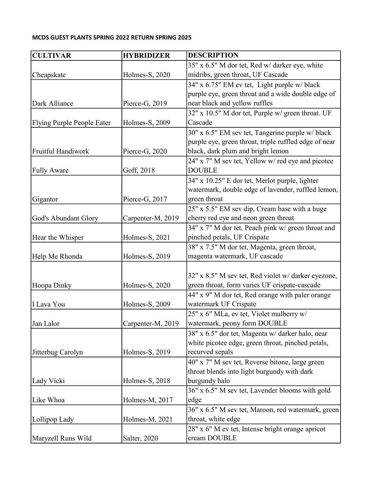## MCDS GUEST PLANTS SPRING 2022 RETURN SPRING 2025

| <b>CULTIVAR</b>            | <b>HYBRIDIZER</b> | <b>DESCRIPTION</b>                                                                                    |
|----------------------------|-------------------|-------------------------------------------------------------------------------------------------------|
|                            |                   | 35" x 6.5" M dor tet, Red w/ darker eye, white                                                        |
| Cheapskate                 | Holmes-S, 2020    | midribs, green throat, UF Cascade                                                                     |
|                            |                   | 34" x 6.75" EM ev tet, Light purple w/ black                                                          |
|                            |                   | purple eye, green throat and a wide double edge of                                                    |
| Dark Alliance              | Pierce-G, 2019    | near black and yellow ruffles                                                                         |
|                            |                   | 32" x 10.5" M dor tet, Purple w/ green throat. UF                                                     |
| Flying Purple People Eater | Holmes-S, 2009    | Cascade                                                                                               |
|                            |                   | 30" x 6.5" EM sev tet, Tangerine purple w/black                                                       |
|                            |                   | purple eye, green throat, triple ruffled edge of near                                                 |
| Fruitful Handiwork         | Pierce-G, 2020    | black, dark plum and bright lemon                                                                     |
|                            |                   | 24" x 7" M sev tet, Yellow w/ red eye and picotee                                                     |
| <b>Fully Aware</b>         | Goff, 2018        | <b>DOUBLE</b>                                                                                         |
|                            |                   | 34" x 10.25" E dor tet, Merlot purple, lighter                                                        |
|                            |                   | watermark, double edge of lavender, ruffled lemon,                                                    |
| Gigantor                   | Pierce-G, 2017    | green throat                                                                                          |
|                            |                   | 25" x 5.5" EM sev dip, Cream base with a huge                                                         |
| God's Abundant Glory       | Carpenter-M, 2019 | cherry red eye and neon green throat                                                                  |
|                            |                   | 34" x 7" M dor tet, Peach pink w/ green throat and                                                    |
| Hear the Whisper           | Holmes-S, 2021    | pinched petals, UF Crispate                                                                           |
|                            |                   | 38" x 7.5" M dor tet, Magenta, green throat,                                                          |
| Help Me Rhonda             | Holmes-S, 2019    | magenta watermark, UF cascade                                                                         |
|                            |                   |                                                                                                       |
|                            |                   | 32" x 8.5" M sev tet, Red violet w/ darker eyezone,                                                   |
| Hoopa Dinky                | Holmes-S, 2020    | green throat, form varies UF crispate-cascade                                                         |
|                            |                   | 44" x 9" M dor tet, Red orange with paler orange                                                      |
| I Lava You                 | Holmes-S, 2009    | watermark UF Crispate                                                                                 |
| Jan Lalor                  |                   | 25" x 6" MLa, ev tet, Violet mulberry w/                                                              |
|                            | Carpenter-M, 2019 | watermark, peony form DOUBLE                                                                          |
|                            |                   | 38" x 6.5" dor tet, Magenta w/ darker halo, near<br>white picotee edge, green throat, pinched petals, |
| Jitterbug Carolyn          | Holmes-S, 2019    | recurved sepals                                                                                       |
|                            |                   | 40" x 7" M sev tet, Reverse bitone, large green                                                       |
|                            |                   | throat blends into light burgundy with dark                                                           |
| Lady Vicki                 | Holmes-S, 2018    | burgundy halo                                                                                         |
|                            |                   | 36" x 6.5" M sev tet, Lavender blooms with gold                                                       |
| Like Whoa                  | Holmes-M, 2017    | edge                                                                                                  |
|                            |                   | 36" x 6.5" M sev tet, Maroon, red watermark, green                                                    |
| Lollipop Lady              | Holmes-M, 2021    | throat, white edge                                                                                    |
|                            |                   | 28" x 6" M ev tet, Intense bright orange apricot                                                      |
|                            |                   |                                                                                                       |
| Maryzell Runs Wild         | Salter, 2020      | cream DOUBLE                                                                                          |